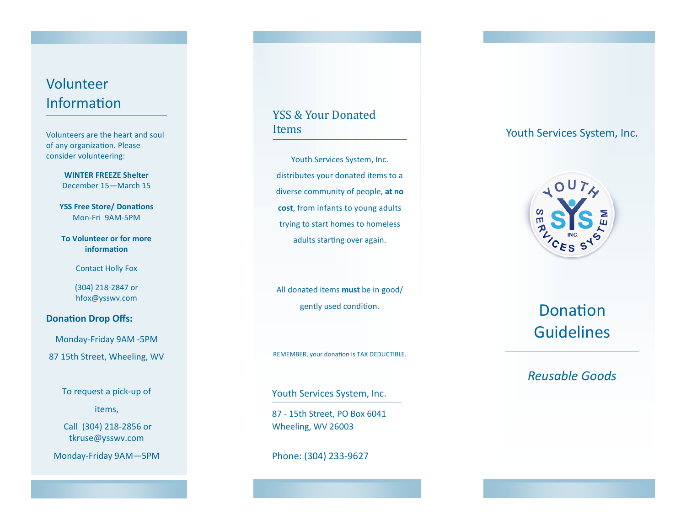# Volunteer Information

Volunteers are the heart and soul of any organization. Please consider volunteering:

> **WINTER FREEZE Shelter** December 15—March 15

**YSS Free Store/ Donations** Mon-Fri 9AM-5PM

**To Volunteer or for more information** 

Contact Holly Fox

(304) 218-2847 or hfox@ysswv.com

# **Donation Drop Offs:**

Monday-Friday 9AM -5PM 87 15th Street, Wheeling, WV

To request a pick-up of

items,

Call (304) 218-2856 or tkruse@ysswv.com

Monday-Friday 9AM—5PM

# YSS & Your Donated Items

Youth Services System, Inc. distributes your donated items to a diverse community of people, **at no cost**, from infants to young adults trying to start homes to homeless adults starting over again.

All donated items **must** be in good/ gently used condition.

REMEMBER, your donation is TAX DEDUCTIBLE.

Youth Services System, Inc.

87 - 15th Street, PO Box 6041 Wheeling, WV 26003

Phone: (304) 233-9627

# Youth Services System, Inc.



# Donation Guidelines

# *Reusable Goods*